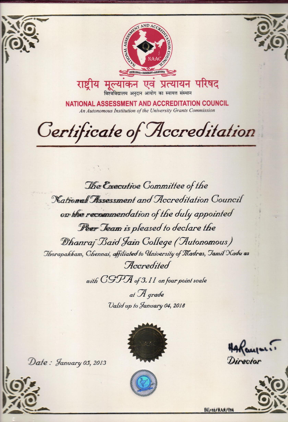

विश्वविद्यालय अनुदान आयोग का स्वायत्त संस्थान

NATIONAL ASSESSMENT AND ACCREDITATION COUNCIL An Autonomous Institution of the University Grants Commission

Certificate of Accreditation

The Executive Committee of the National Assessment and Accreditation Council on the recommendation of the duly appointed Feer Jeam is pleased to declare the Dhanraj Baid Jain College (Autonomous) Thorapakkam, Chennai, affiliated to University of Madras, Jamil Xadu as Accredited

with CGPA of 3.11 on four point scale

at A grade Valid up to January 04, 2018



Directo



Date: January 05, 2013



EE/62/RAR/084